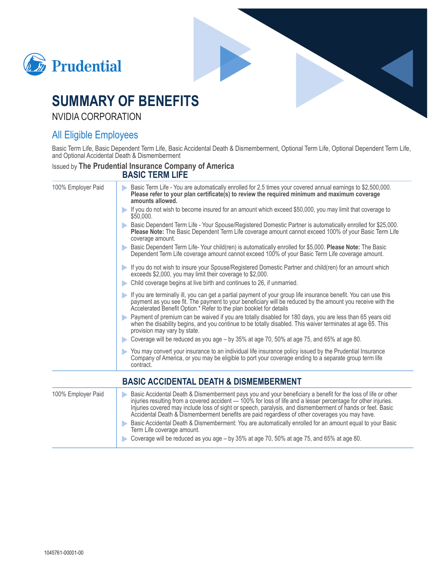



# **SUMMARY OF BENEFITS**

**NVIDIA CORPORATION** 

# **All Eligible Employees**

Basic Term Life, Basic Dependent Term Life, Basic Accidental Death & Dismemberment, Optional Term Life, Optional Dependent Term Life, and Optional Accidental Death & Dismemberment

#### **Issued by The Prudential Insurance Company of America BASIC TERM LIFE**

#### 100% Employer Paid Basic Term Life - You are automatically enrolled for 2.5 times your covered annual earnings to \$2,500,000. Please refer to your plan certificate(s) to review the required minimum and maximum coverage amounts allowed. If you do not wish to become insured for an amount which exceed \$50,000, you may limit that coverage to \$50,000. Basic Dependent Term Life - Your Spouse/Registered Domestic Partner is automatically enrolled for \$25,000. Please Note: The Basic Dependent Term Life coverage amount cannot exceed 100% of your Basic Term Life coverage amount. Basic Dependent Term Life-Your child(ren) is automatically enrolled for \$5,000. Please Note: The Basic Dependent Term Life coverage amount cannot exceed 100% of your Basic Term Life coverage amount. If you do not wish to insure your Spouse/Registered Domestic Partner and child(ren) for an amount which exceeds \$2,000, you may limit their coverage to \$2,000. Child coverage begins at live birth and continues to 26, if unmarried. If you are terminally ill, you can get a partial payment of your group life insurance benefit. You can use this payment as you see fit. The payment to your beneficiary will be reduced by the amount you receive with the Accelerated Benefit Option.\* Refer to the plan booklet for details Payment of premium can be waived if you are totally disabled for 180 days, you are less than 65 years old when the disability begins, and you continue to be totally disabled. This waiver terminates at age 65. This provision may vary by state. Coverage will be reduced as you age – by 35% at age 70, 50% at age 75, and 65% at age 80. You may convert your insurance to an individual life insurance policy issued by the Prudential Insurance Company of America, or you may be eligible to port your coverage ending to a separate group term life contract **BASIC ACCIDENTAL DEATH & DISMEMBERMENT** 100% Employer Paid Basic Accidental Death & Dismemberment pays you and your beneficiary a benefit for the loss of life or other injuries resulting from a covered accident - 100% for loss of life and a lesser percentage for other injuries. Injuries covered may include loss of sight or speech, paralysis, and dismemberment of hands or feet. Basic Accidental Death & Dismemberment benefits are paid regardless of other coverages you may have. Basic Accidental Death & Dismemberment: You are automatically enrolled for an amount equal to your Basic Term Life coverage amount.

Coverage will be reduced as you age - by 35% at age 70, 50% at age 75, and 65% at age 80.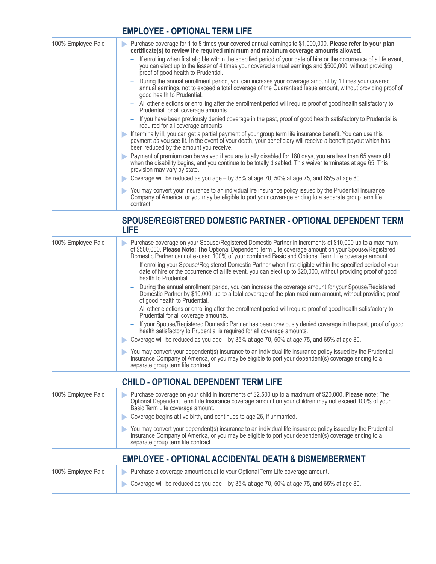## **EMPLOYEE - OPTIONAL TERM LIFE**

| 100% Employee Paid | Purchase coverage for 1 to 8 times your covered annual earnings to \$1,000,000. Please refer to your plan<br>D<br>certificate(s) to review the required minimum and maximum coverage amounts allowed.<br>If enrolling when first eligible within the specified period of your date of hire or the occurrence of a life event,<br>you can elect up to the lesser of 4 times your covered annual earnings and \$500,000, without providing<br>proof of good health to Prudential.<br>During the annual enrollment period, you can increase your coverage amount by 1 times your covered<br>annual earnings, not to exceed a total coverage of the Guaranteed Issue amount, without providing proof of<br>good health to Prudential. |
|--------------------|-----------------------------------------------------------------------------------------------------------------------------------------------------------------------------------------------------------------------------------------------------------------------------------------------------------------------------------------------------------------------------------------------------------------------------------------------------------------------------------------------------------------------------------------------------------------------------------------------------------------------------------------------------------------------------------------------------------------------------------|
|                    | All other elections or enrolling after the enrollment period will require proof of good health satisfactory to<br>Prudential for all coverage amounts.                                                                                                                                                                                                                                                                                                                                                                                                                                                                                                                                                                            |
|                    | - If you have been previously denied coverage in the past, proof of good health satisfactory to Prudential is<br>required for all coverage amounts.                                                                                                                                                                                                                                                                                                                                                                                                                                                                                                                                                                               |
|                    | If terminally ill, you can get a partial payment of your group term life insurance benefit. You can use this<br>payment as you see fit. In the event of your death, your beneficiary will receive a benefit payout which has<br>been reduced by the amount you receive.                                                                                                                                                                                                                                                                                                                                                                                                                                                           |
|                    | Payment of premium can be waived if you are totally disabled for 180 days, you are less than 65 years old<br>when the disability begins, and you continue to be totally disabled. This waiver terminates at age 65. This<br>provision may vary by state.                                                                                                                                                                                                                                                                                                                                                                                                                                                                          |
|                    | Coverage will be reduced as you age – by 35% at age 70, 50% at age 75, and 65% at age 80.                                                                                                                                                                                                                                                                                                                                                                                                                                                                                                                                                                                                                                         |
|                    | You may convert your insurance to an individual life insurance policy issued by the Prudential Insurance<br>Company of America, or you may be eligible to port your coverage ending to a separate group term life<br>contract.                                                                                                                                                                                                                                                                                                                                                                                                                                                                                                    |

### SPOUSE/REGISTERED DOMESTIC PARTNER - OPTIONAL DEPENDENT TERM **LIFE**

| 100% Employee Paid | Purchase coverage on your Spouse/Registered Domestic Partner in increments of \$10,000 up to a maximum<br>of \$500,000. Please Note: The Optional Dependent Term Life coverage amount on your Spouse/Registered<br>Domestic Partner cannot exceed 100% of your combined Basic and Optional Term Life coverage amount.<br>- If enrolling your Spouse/Registered Domestic Partner when first eligible within the specified period of your<br>date of hire or the occurrence of a life event, you can elect up to \$20,000, without providing proof of good<br>health to Prudential. |
|--------------------|-----------------------------------------------------------------------------------------------------------------------------------------------------------------------------------------------------------------------------------------------------------------------------------------------------------------------------------------------------------------------------------------------------------------------------------------------------------------------------------------------------------------------------------------------------------------------------------|
|                    | - During the annual enrollment period, you can increase the coverage amount for your Spouse/Registered<br>Domestic Partner by \$10,000, up to a total coverage of the plan maximum amount, without providing proof<br>of good health to Prudential.                                                                                                                                                                                                                                                                                                                               |
|                    | All other elections or enrolling after the enrollment period will require proof of good health satisfactory to<br>Prudential for all coverage amounts.                                                                                                                                                                                                                                                                                                                                                                                                                            |
|                    | If your Spouse/Registered Domestic Partner has been previously denied coverage in the past, proof of good<br>health satisfactory to Prudential is required for all coverage amounts.                                                                                                                                                                                                                                                                                                                                                                                              |
|                    | Coverage will be reduced as you age - by 35% at age 70, 50% at age 75, and 65% at age 80.                                                                                                                                                                                                                                                                                                                                                                                                                                                                                         |
|                    | You may convert your dependent(s) insurance to an individual life insurance policy issued by the Prudential<br>Insurance Company of America, or you may be eligible to port your dependent(s) coverage ending to a<br>separate group term life contract.                                                                                                                                                                                                                                                                                                                          |

### **CHILD - OPTIONAL DEPENDENT TERM LIFE**

| 100% Employee Paid | Purchase coverage on your child in increments of \$2,500 up to a maximum of \$20,000. Please note: The<br>D<br>Optional Dependent Term Life Insurance coverage amount on your children may not exceed 100% of your<br>Basic Term Life coverage amount.<br>Coverage begins at live birth, and continues to age 26, if unmarried.<br>You may convert your dependent(s) insurance to an individual life insurance policy issued by the Prudential<br>Insurance Company of America, or you may be eligible to port your dependent(s) coverage ending to a<br>separate group term life contract. |
|--------------------|---------------------------------------------------------------------------------------------------------------------------------------------------------------------------------------------------------------------------------------------------------------------------------------------------------------------------------------------------------------------------------------------------------------------------------------------------------------------------------------------------------------------------------------------------------------------------------------------|
|                    | <b>EMPLOYEE - OPTIONAL ACCIDENTAL DEATH &amp; DISMEMBERMENT</b>                                                                                                                                                                                                                                                                                                                                                                                                                                                                                                                             |
| 100% Employee Paid | Purchase a coverage amount equal to your Optional Term Life coverage amount.<br>Þ<br>Coverage will be reduced as you age – by 35% at age 70, 50% at age 75, and 65% at age 80.<br>D                                                                                                                                                                                                                                                                                                                                                                                                         |